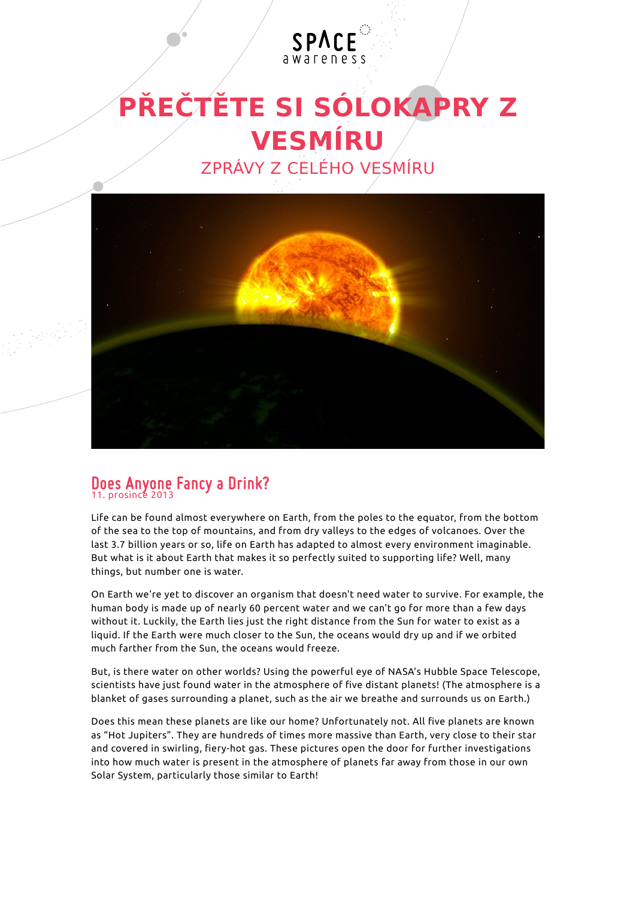## **PŘEČTĚTE SI SÓLOKAPRY Z VESMÍRU** ZPRÁVY Z CELÉHO VESMÍRU

SPACE



## **Does Anyone Fancy a Drink?** 11. prosince 2013

Life can be found almost everywhere on Earth, from the poles to the equator, from the bottom of the sea to the top of mountains, and from dry valleys to the edges of volcanoes. Over the last 3.7 billion years or so, life on Earth has adapted to almost every environment imaginable. But what is it about Earth that makes it so perfectly suited to supporting life? Well, many things, but number one is water.

On Earth we're yet to discover an organism that doesn't need water to survive. For example, the human body is made up of nearly 60 percent water and we can't go for more than a few days without it. Luckily, the Earth lies just the right distance from the Sun for water to exist as a liquid. If the Earth were much closer to the Sun, the oceans would dry up and if we orbited much farther from the Sun, the oceans would freeze.

But, is there water on other worlds? Using the powerful eye of NASA's Hubble Space Telescope, scientists have just found water in the atmosphere of five distant planets! (The atmosphere is a blanket of gases surrounding a planet, such as the air we breathe and surrounds us on Earth.)

Does this mean these planets are like our home? Unfortunately not. All five planets are known as "Hot Jupiters". They are hundreds of times more massive than Earth, very close to their star and covered in swirling, fiery-hot gas. These pictures open the door for further investigations into how much water is present in the atmosphere of planets far away from those in our own Solar System, particularly those similar to Earth!